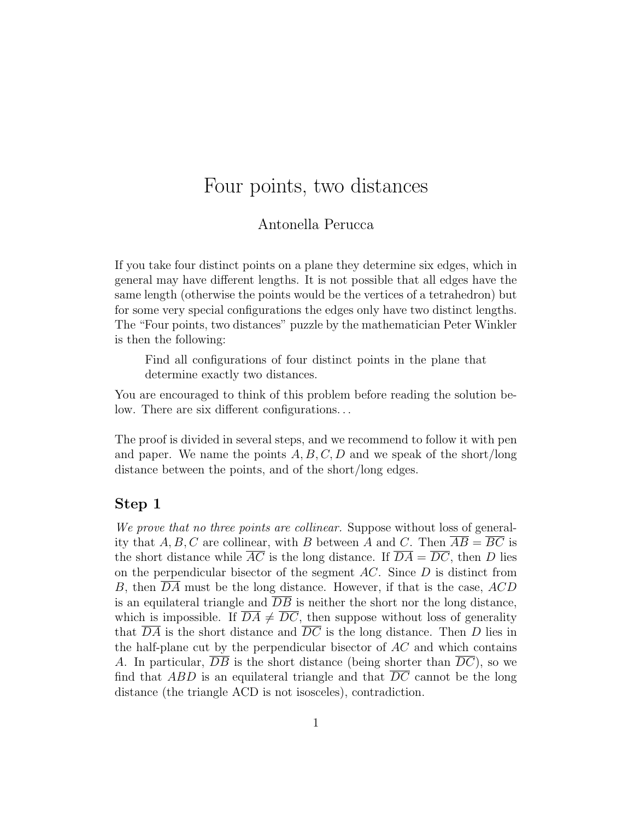# Four points, two distances

### Antonella Perucca

If you take four distinct points on a plane they determine six edges, which in general may have different lengths. It is not possible that all edges have the same length (otherwise the points would be the vertices of a tetrahedron) but for some very special configurations the edges only have two distinct lengths. The "Four points, two distances" puzzle by the mathematician Peter Winkler is then the following:

Find all configurations of four distinct points in the plane that determine exactly two distances.

You are encouraged to think of this problem before reading the solution below. There are six different configurations. . .

The proof is divided in several steps, and we recommend to follow it with pen and paper. We name the points  $A, B, C, D$  and we speak of the short/long distance between the points, and of the short/long edges.

#### Step 1

We prove that no three points are collinear. Suppose without loss of generality that A, B, C are collinear, with B between A and C. Then  $\overline{AB} = \overline{BC}$  is the short distance while  $\overline{AC}$  is the long distance. If  $\overline{DA} = \overline{DC}$ , then D lies on the perpendicular bisector of the segment  $AC$ . Since  $D$  is distinct from B, then DA must be the long distance. However, if that is the case, ACD is an equilateral triangle and  $\overline{DB}$  is neither the short nor the long distance, which is impossible. If  $\overline{DA} \neq \overline{DC}$ , then suppose without loss of generality that  $\overline{DA}$  is the short distance and  $\overline{DC}$  is the long distance. Then D lies in the half-plane cut by the perpendicular bisector of  $AC$  and which contains A. In particular,  $\overline{DB}$  is the short distance (being shorter than  $\overline{DC}$ ), so we find that ABD is an equilateral triangle and that  $\overline{DC}$  cannot be the long distance (the triangle ACD is not isosceles), contradiction.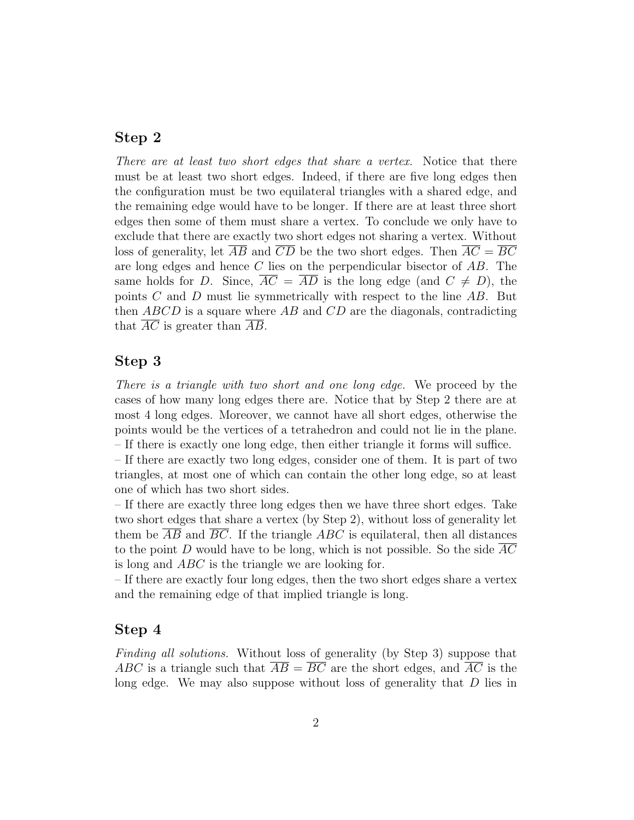## Step 2

There are at least two short edges that share a vertex. Notice that there must be at least two short edges. Indeed, if there are five long edges then the configuration must be two equilateral triangles with a shared edge, and the remaining edge would have to be longer. If there are at least three short edges then some of them must share a vertex. To conclude we only have to exclude that there are exactly two short edges not sharing a vertex. Without loss of generality, let  $\overline{AB}$  and  $\overline{CD}$  be the two short edges. Then  $\overline{AC} = \overline{BC}$ are long edges and hence C lies on the perpendicular bisector of AB. The same holds for D. Since,  $AC = AD$  is the long edge (and  $C \neq D$ ), the points  $C$  and  $D$  must lie symmetrically with respect to the line  $AB$ . But then  $ABCD$  is a square where  $AB$  and  $CD$  are the diagonals, contradicting that AC is greater than AB.

## Step 3

There is a triangle with two short and one long edge. We proceed by the cases of how many long edges there are. Notice that by Step 2 there are at most 4 long edges. Moreover, we cannot have all short edges, otherwise the points would be the vertices of a tetrahedron and could not lie in the plane. – If there is exactly one long edge, then either triangle it forms will suffice.

– If there are exactly two long edges, consider one of them. It is part of two triangles, at most one of which can contain the other long edge, so at least one of which has two short sides.

– If there are exactly three long edges then we have three short edges. Take two short edges that share a vertex (by Step 2), without loss of generality let them be  $\overline{AB}$  and  $\overline{BC}$ . If the triangle  $ABC$  is equilateral, then all distances to the point D would have to be long, which is not possible. So the side  $AC$ is long and ABC is the triangle we are looking for.

– If there are exactly four long edges, then the two short edges share a vertex and the remaining edge of that implied triangle is long.

#### Step 4

Finding all solutions. Without loss of generality (by Step 3) suppose that ABC is a triangle such that  $AB = BC$  are the short edges, and AC is the long edge. We may also suppose without loss of generality that D lies in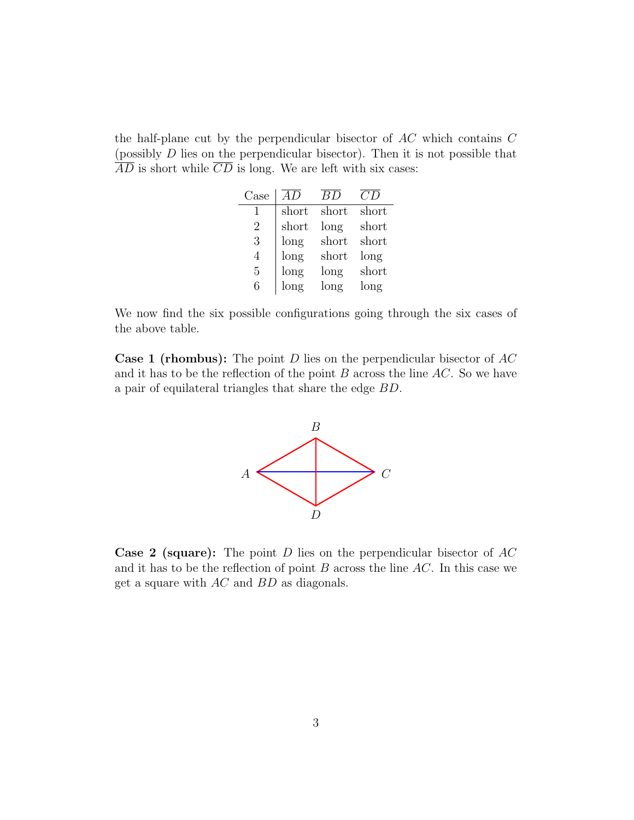the half-plane cut by the perpendicular bisector of  $AC$  which contains  $C$ (possibly D lies on the perpendicular bisector). Then it is not possible that  $\overline{AD}$  is short while  $\overline{CD}$  is long. We are left with six cases:

| Case           | AD    | BD    | CD    |
|----------------|-------|-------|-------|
| 1              | short | short | short |
| $\overline{2}$ | short | long  | short |
| 3              | long  | short | short |
| 4              | long  | short | long  |
| 5              | long  | long  | short |
| 6              | long  | long  | long  |

We now find the six possible configurations going through the six cases of the above table.

**Case 1 (rhombus):** The point D lies on the perpendicular bisector of  $AC$ and it has to be the reflection of the point  $B$  across the line  $AC$ . So we have a pair of equilateral triangles that share the edge BD.



**Case 2 (square):** The point D lies on the perpendicular bisector of  $AC$ and it has to be the reflection of point  $B$  across the line  $AC$ . In this case we get a square with AC and BD as diagonals.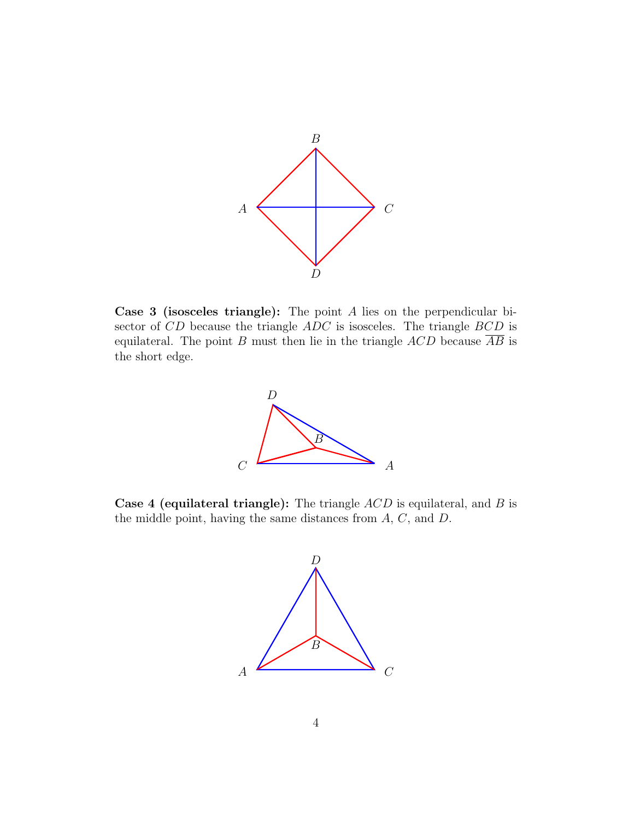

Case 3 (isosceles triangle): The point A lies on the perpendicular bisector of CD because the triangle  $ADC$  is isosceles. The triangle  $BCD$  is equilateral. The point B must then lie in the triangle  $ACD$  because  $\overline{AB}$  is the short edge.



**Case 4 (equilateral triangle):** The triangle  $ACD$  is equilateral, and B is the middle point, having the same distances from A, C, and D.

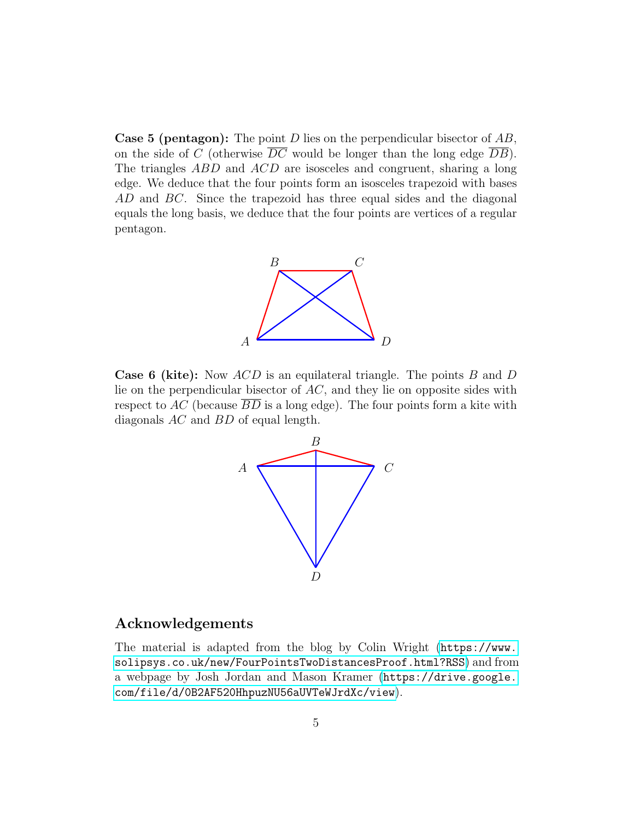**Case 5 (pentagon):** The point D lies on the perpendicular bisector of  $AB$ , on the side of C (otherwise  $\overline{DC}$  would be longer than the long edge  $\overline{DB}$ ). The triangles ABD and ACD are isosceles and congruent, sharing a long edge. We deduce that the four points form an isosceles trapezoid with bases AD and BC. Since the trapezoid has three equal sides and the diagonal equals the long basis, we deduce that the four points are vertices of a regular pentagon.



**Case 6 (kite):** Now  $ACD$  is an equilateral triangle. The points  $B$  and  $D$ lie on the perpendicular bisector of AC, and they lie on opposite sides with respect to AC (because  $\overline{BD}$  is a long edge). The four points form a kite with diagonals AC and BD of equal length.



### Acknowledgements

The material is adapted from the blog by Colin Wright ([https://www.](https://www.solipsys.co.uk/new/FourPointsTwoDistancesProof.html?RSS) [solipsys.co.uk/new/FourPointsTwoDistancesProof.html?RSS](https://www.solipsys.co.uk/new/FourPointsTwoDistancesProof.html?RSS)) and from a webpage by Josh Jordan and Mason Kramer ([https://drive.google.](https://drive.google.com/file/d/0B2AF520HhpuzNU56aUVTeWJrdXc/view) [com/file/d/0B2AF520HhpuzNU56aUVTeWJrdXc/view](https://drive.google.com/file/d/0B2AF520HhpuzNU56aUVTeWJrdXc/view)).